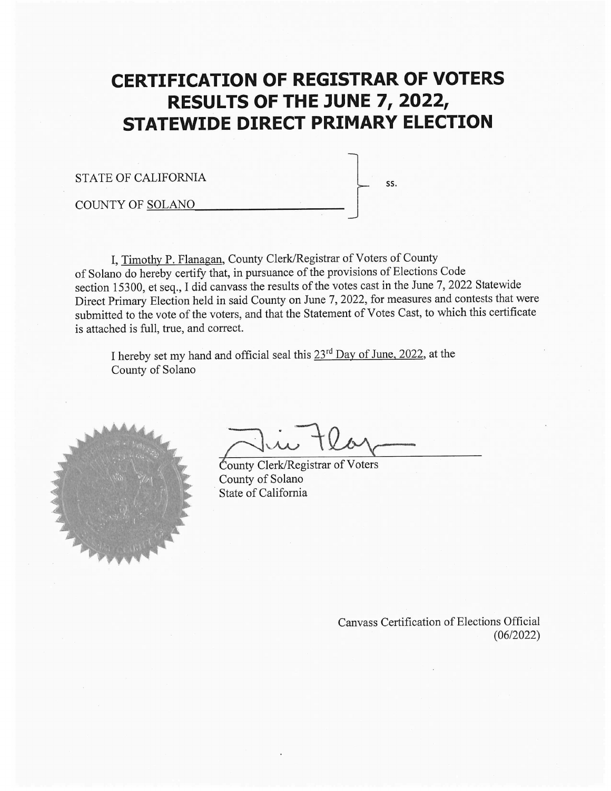# **CERTIFICATION OF REGISTRAR OF VOTERS** RESULTS OF THE JUNE 7, 2022, **STATEWIDE DIRECT PRIMARY ELECTION**

SS.

**STATE OF CALIFORNIA** 

**COUNTY OF SOLANO** 

I, Timothy P. Flanagan, County Clerk/Registrar of Voters of County of Solano do hereby certify that, in pursuance of the provisions of Elections Code section 15300, et seq., I did canvass the results of the votes cast in the June 7, 2022 Statewide Direct Primary Election held in said County on June 7, 2022, for measures and contests that were submitted to the vote of the voters, and that the Statement of Votes Cast, to which this certificate is attached is full, true, and correct.

I hereby set my hand and official seal this 23<sup>rd</sup> Day of June, 2022, at the County of Solano



County Clerk/Registrar of Voters County of Solano State of California

Canvass Certification of Elections Official  $(06/2022)$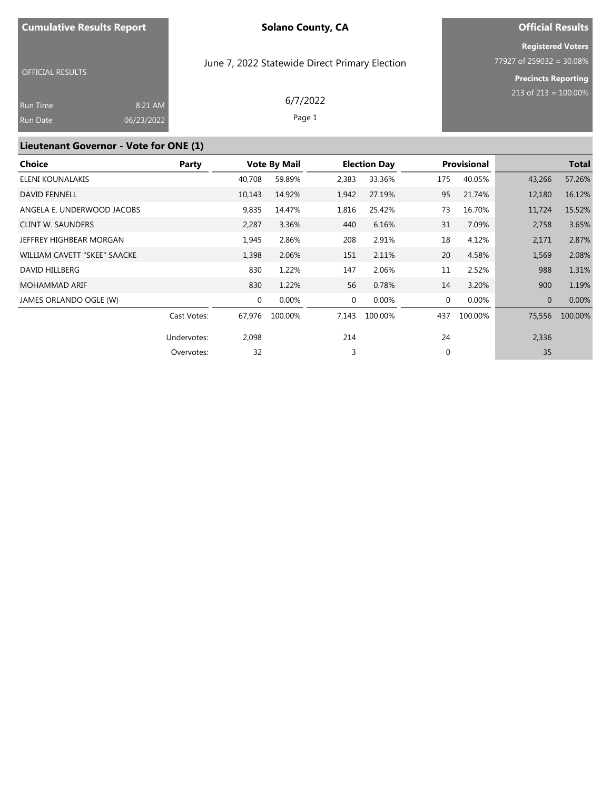# **Official Results Registered Voters**

OFFICIAL RESULTS

June 7, 2022 Statewide Direct Primary Election

77927 of 259032 = 30.08% **Precincts Reporting**

213 of 213 = 100.00%

| Run Time | 8:21 AM    | 6/7/2022 |
|----------|------------|----------|
| Run Date | 06/23/2022 | Page 1   |

# **Lieutenant Governor - Vote for ONE (1)**

| Choice                       | Party       |             | <b>Vote By Mail</b> |             | <b>Election Day</b> |     | <b>Provisional</b> |              | <b>Total</b> |
|------------------------------|-------------|-------------|---------------------|-------------|---------------------|-----|--------------------|--------------|--------------|
| ELENI KOUNALAKIS             |             | 40,708      | 59.89%              | 2,383       | 33.36%              | 175 | 40.05%             | 43,266       | 57.26%       |
| <b>DAVID FENNELL</b>         |             | 10,143      | 14.92%              | 1,942       | 27.19%              | 95  | 21.74%             | 12,180       | 16.12%       |
| ANGELA E. UNDERWOOD JACOBS   |             | 9,835       | 14.47%              | 1,816       | 25.42%              | 73  | 16.70%             | 11,724       | 15.52%       |
| <b>CLINT W. SAUNDERS</b>     |             | 2,287       | 3.36%               | 440         | 6.16%               | 31  | 7.09%              | 2,758        | 3.65%        |
| JEFFREY HIGHBEAR MORGAN      |             | 1,945       | 2.86%               | 208         | 2.91%               | 18  | 4.12%              | 2,171        | 2.87%        |
| WILLIAM CAVETT "SKEE" SAACKE |             | 1,398       | 2.06%               | 151         | 2.11%               | 20  | 4.58%              | 1,569        | 2.08%        |
| DAVID HILLBERG               |             | 830         | 1.22%               | 147         | 2.06%               | 11  | 2.52%              | 988          | 1.31%        |
| <b>MOHAMMAD ARIF</b>         |             | 830         | 1.22%               | 56          | 0.78%               | 14  | 3.20%              | 900          | 1.19%        |
| JAMES ORLANDO OGLE (W)       |             | $\mathbf 0$ | 0.00%               | $\mathbf 0$ | 0.00%               | 0   | 0.00%              | $\mathbf{0}$ | 0.00%        |
|                              | Cast Votes: | 67,976      | 100.00%             | 7,143       | 100.00%             | 437 | 100.00%            | 75,556       | 100.00%      |
|                              | Undervotes: | 2,098       |                     | 214         |                     | 24  |                    | 2,336        |              |
|                              | Overvotes:  | 32          |                     | 3           |                     | 0   |                    | 35           |              |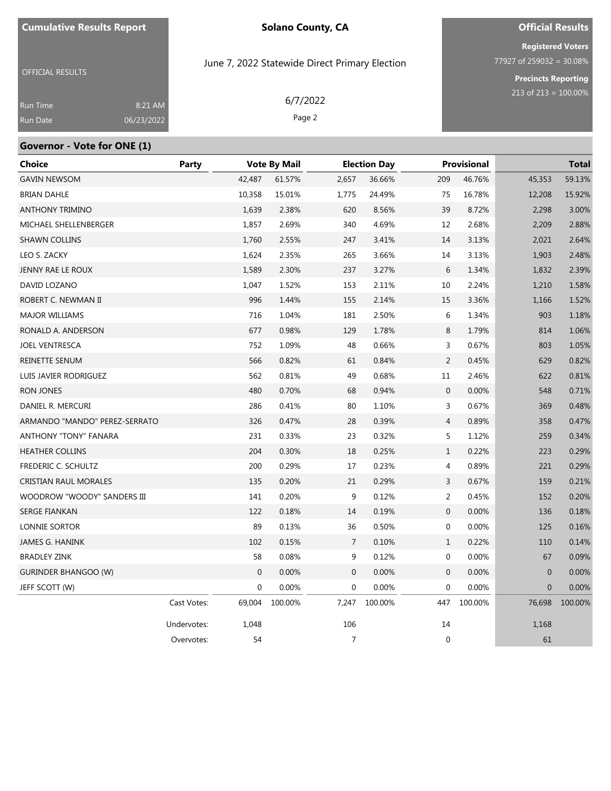OFFICIAL RESULTS

### **Solano County, CA**

June 7, 2022 Statewide Direct Primary Election

# **Official Results**

**Registered Voters**  $77927$  of 259032 = 30.08%

> **Precincts Reporting** 213 of 213 = 100.00%

| Run Time | 8:21 AM    | 6/7/2022 |
|----------|------------|----------|
| Run Date | 06/23/2022 | Page 2   |

#### **Governor - Vote for ONE (1)**

| Choice                        | Party       |              | <b>Vote By Mail</b> |                | <b>Election Day</b> |                | <b>Provisional</b> | <b>Total</b>   |         |
|-------------------------------|-------------|--------------|---------------------|----------------|---------------------|----------------|--------------------|----------------|---------|
| <b>GAVIN NEWSOM</b>           |             | 42,487       | 61.57%              | 2,657          | 36.66%              | 209            | 46.76%             | 45,353         | 59.13%  |
| <b>BRIAN DAHLE</b>            |             | 10,358       | 15.01%              | 1,775          | 24.49%              | 75             | 16.78%             | 12,208         | 15.92%  |
| <b>ANTHONY TRIMINO</b>        |             | 1,639        | 2.38%               | 620            | 8.56%               | 39             | 8.72%              | 2,298          | 3.00%   |
| MICHAEL SHELLENBERGER         |             | 1,857        | 2.69%               | 340            | 4.69%               | 12             | 2.68%              | 2,209          | 2.88%   |
| <b>SHAWN COLLINS</b>          |             | 1,760        | 2.55%               | 247            | 3.41%               | 14             | 3.13%              | 2,021          | 2.64%   |
| LEO S. ZACKY                  |             | 1,624        | 2.35%               | 265            | 3.66%               | 14             | 3.13%              | 1,903          | 2.48%   |
| JENNY RAE LE ROUX             |             | 1,589        | 2.30%               | 237            | 3.27%               | 6              | 1.34%              | 1,832          | 2.39%   |
| DAVID LOZANO                  |             | 1,047        | 1.52%               | 153            | 2.11%               | 10             | 2.24%              | 1,210          | 1.58%   |
| ROBERT C. NEWMAN II           |             | 996          | 1.44%               | 155            | 2.14%               | 15             | 3.36%              | 1,166          | 1.52%   |
| <b>MAJOR WILLIAMS</b>         |             | 716          | 1.04%               | 181            | 2.50%               | 6              | 1.34%              | 903            | 1.18%   |
| RONALD A. ANDERSON            |             | 677          | 0.98%               | 129            | 1.78%               | 8              | 1.79%              | 814            | 1.06%   |
| <b>JOEL VENTRESCA</b>         |             | 752          | 1.09%               | 48             | 0.66%               | 3              | 0.67%              | 803            | 1.05%   |
| REINETTE SENUM                |             | 566          | 0.82%               | 61             | 0.84%               | $\overline{2}$ | 0.45%              | 629            | 0.82%   |
| LUIS JAVIER RODRIGUEZ         |             | 562          | 0.81%               | 49             | 0.68%               | 11             | 2.46%              | 622            | 0.81%   |
| <b>RON JONES</b>              |             | 480          | 0.70%               | 68             | 0.94%               | $\mathbf{0}$   | 0.00%              | 548            | 0.71%   |
| DANIEL R. MERCURI             |             | 286          | 0.41%               | 80             | 1.10%               | 3              | 0.67%              | 369            | 0.48%   |
| ARMANDO "MANDO" PEREZ-SERRATO |             | 326          | 0.47%               | 28             | 0.39%               | 4              | 0.89%              | 358            | 0.47%   |
| ANTHONY "TONY" FANARA         |             | 231          | 0.33%               | 23             | 0.32%               | 5              | 1.12%              | 259            | 0.34%   |
| <b>HEATHER COLLINS</b>        |             | 204          | 0.30%               | 18             | 0.25%               | $\mathbf{1}$   | 0.22%              | 223            | 0.29%   |
| FREDERIC C. SCHULTZ           |             | 200          | 0.29%               | 17             | 0.23%               | 4              | 0.89%              | 221            | 0.29%   |
| CRISTIAN RAUL MORALES         |             | 135          | 0.20%               | 21             | 0.29%               | 3              | 0.67%              | 159            | 0.21%   |
| WOODROW "WOODY" SANDERS III   |             | 141          | 0.20%               | 9              | 0.12%               | $\overline{c}$ | 0.45%              | 152            | 0.20%   |
| SERGE FIANKAN                 |             | 122          | 0.18%               | 14             | 0.19%               | $\mathbf 0$    | 0.00%              | 136            | 0.18%   |
| LONNIE SORTOR                 |             | 89           | 0.13%               | 36             | 0.50%               | 0              | 0.00%              | 125            | 0.16%   |
| JAMES G. HANINK               |             | 102          | 0.15%               | 7              | 0.10%               | $\mathbf{1}$   | 0.22%              | 110            | 0.14%   |
| <b>BRADLEY ZINK</b>           |             | 58           | 0.08%               | 9              | 0.12%               | 0              | 0.00%              | 67             | 0.09%   |
| <b>GURINDER BHANGOO (W)</b>   |             | $\mathbf{0}$ | 0.00%               | $\mathbf 0$    | 0.00%               | $\mathbf 0$    | 0.00%              | $\overline{0}$ | 0.00%   |
| JEFF SCOTT (W)                |             | 0            | 0.00%               | $\mathbf 0$    | 0.00%               | $\mathbf 0$    | 0.00%              | $\mathbf 0$    | 0.00%   |
|                               | Cast Votes: | 69,004       | 100.00%             | 7,247          | 100.00%             | 447            | 100.00%            | 76,698         | 100.00% |
|                               | Undervotes: | 1,048        |                     | 106            |                     | $14\,$         |                    | 1,168          |         |
|                               | Overvotes:  | 54           |                     | $\overline{7}$ |                     | $\mathbf{0}$   |                    | 61             |         |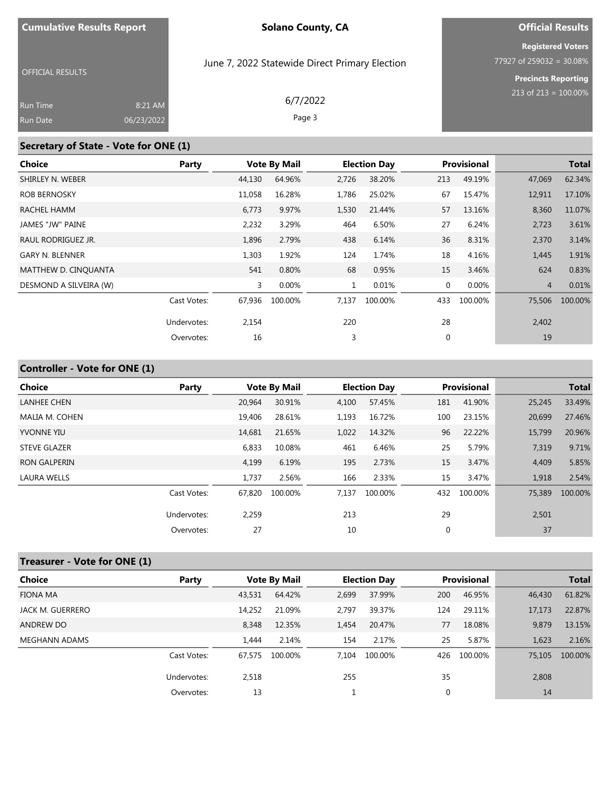# **Official Results Registered Voters**

OFFICIAL RESULTS

### June 7, 2022 Statewide Direct Primary Election

# **Precincts Reporting** 213 of 213 = 100.00%

77927 of 259032 = 30.08%

| <b>Run Time</b> | 8:21 AM    | 6/7/2022 |  |
|-----------------|------------|----------|--|
| <b>Run Date</b> | 06/23/2022 | Page 3   |  |

### **Secretary of State - Vote for ONE (1)**

| <b>Choice</b>          | Party       |        | <b>Vote By Mail</b> |              | <b>Election Day</b> |     | <b>Provisional</b> |                | <b>Total</b> |
|------------------------|-------------|--------|---------------------|--------------|---------------------|-----|--------------------|----------------|--------------|
| SHIRLEY N. WEBER       |             | 44,130 | 64.96%              | 2,726        | 38.20%              | 213 | 49.19%             | 47,069         | 62.34%       |
| <b>ROB BERNOSKY</b>    |             | 11,058 | 16.28%              | 1,786        | 25.02%              | 67  | 15.47%             | 12,911         | 17.10%       |
| RACHEL HAMM            |             | 6,773  | 9.97%               | 1,530        | 21.44%              | 57  | 13.16%             | 8,360          | 11.07%       |
| JAMES "JW" PAINE       |             | 2,232  | 3.29%               | 464          | 6.50%               | 27  | 6.24%              | 2,723          | 3.61%        |
| RAUL RODRIGUEZ JR.     |             | 1,896  | 2.79%               | 438          | 6.14%               | 36  | 8.31%              | 2,370          | 3.14%        |
| <b>GARY N. BLENNER</b> |             | 1,303  | 1.92%               | 124          | 1.74%               | 18  | 4.16%              | 1,445          | 1.91%        |
| MATTHEW D. CINOUANTA   |             | 541    | 0.80%               | 68           | 0.95%               | 15  | 3.46%              | 624            | 0.83%        |
| DESMOND A SILVEIRA (W) |             | 3      | 0.00%               | $\mathbf{1}$ | 0.01%               | 0   | 0.00%              | $\overline{4}$ | 0.01%        |
|                        | Cast Votes: | 67,936 | 100.00%             | 7,137        | 100.00%             | 433 | 100.00%            | 75,506         | 100.00%      |
|                        | Undervotes: | 2,154  |                     | 220          |                     | 28  |                    | 2,402          |              |
|                        | Overvotes:  | 16     |                     | 3            |                     | 0   |                    | 19             |              |

# **Controller - Vote for ONE (1)**

| <b>Choice</b>       | Party       |        | <b>Vote By Mail</b> |       | <b>Election Day</b> |     | <b>Provisional</b> |        | <b>Total</b> |
|---------------------|-------------|--------|---------------------|-------|---------------------|-----|--------------------|--------|--------------|
| <b>LANHEE CHEN</b>  |             | 20,964 | 30.91%              | 4,100 | 57.45%              | 181 | 41.90%             | 25,245 | 33.49%       |
| MALIA M. COHEN      |             | 19,406 | 28.61%              | 1,193 | 16.72%              | 100 | 23.15%             | 20,699 | 27.46%       |
| <b>YVONNE YIU</b>   |             | 14,681 | 21.65%              | 1,022 | 14.32%              | 96  | 22.22%             | 15,799 | 20.96%       |
| <b>STEVE GLAZER</b> |             | 6,833  | 10.08%              | 461   | 6.46%               | 25  | 5.79%              | 7,319  | 9.71%        |
| <b>RON GALPERIN</b> |             | 4,199  | 6.19%               | 195   | 2.73%               | 15  | 3.47%              | 4,409  | 5.85%        |
| LAURA WELLS         |             | 1,737  | 2.56%               | 166   | 2.33%               | 15  | 3.47%              | 1,918  | 2.54%        |
|                     | Cast Votes: | 67.820 | 100.00%             | 7,137 | 100.00%             | 432 | 100.00%            | 75,389 | 100.00%      |
|                     | Undervotes: | 2,259  |                     | 213   |                     | 29  |                    | 2,501  |              |
|                     | Overvotes:  | 27     |                     | 10    |                     | 0   |                    | 37     |              |

# **Treasurer - Vote for ONE (1)**

| <b>Choice</b>    | Party       |        | <b>Vote By Mail</b> |       | <b>Election Day</b> |     | <b>Provisional</b> |        | <b>Total</b> |
|------------------|-------------|--------|---------------------|-------|---------------------|-----|--------------------|--------|--------------|
| FIONA MA         |             | 43,531 | 64.42%              | 2.699 | 37.99%              | 200 | 46.95%             | 46,430 | 61.82%       |
| JACK M. GUERRERO |             | 14.252 | 21.09%              | 2.797 | 39.37%              | 124 | 29.11%             | 17,173 | 22.87%       |
| <b>ANDREW DO</b> |             | 8,348  | 12.35%              | 1,454 | 20.47%              | 77  | 18.08%             | 9,879  | 13.15%       |
| MEGHANN ADAMS    |             | 1.444  | 2.14%               | 154   | 2.17%               | 25  | 5.87%              | 1.623  | 2.16%        |
|                  | Cast Votes: | 67.575 | 100.00%             | 7.104 | 100.00%             | 426 | 100.00%            | 75,105 | 100.00%      |
|                  | Undervotes: | 2,518  |                     | 255   |                     | 35  |                    | 2,808  |              |
|                  | Overvotes:  | 13     |                     |       |                     | 0   |                    | 14     |              |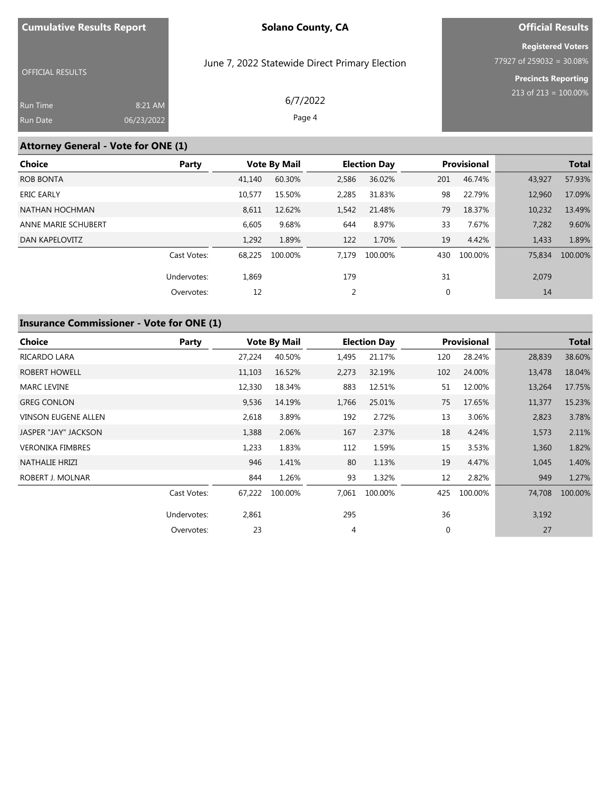# **Official Results**

**Registered Voters** 77927 of 259032 = 30.08%

OFFICIAL RESULTS

June 7, 2022 Statewide Direct Primary Election

**Precincts Reporting** 213 of 213 = 100.00%

| Run Time        | 8:21 AM    | 6/7/2022 |
|-----------------|------------|----------|
| <b>Run Date</b> | 06/23/2022 | Page 4   |

### **Attorney General - Vote for ONE (1)**

| <b>Choice</b>       | Party       |        | <b>Vote By Mail</b> |       | <b>Election Day</b> |     | Provisional |        | <b>Total</b> |
|---------------------|-------------|--------|---------------------|-------|---------------------|-----|-------------|--------|--------------|
| <b>ROB BONTA</b>    |             | 41.140 | 60.30%              | 2,586 | 36.02%              | 201 | 46.74%      | 43,927 | 57.93%       |
| <b>ERIC EARLY</b>   |             | 10,577 | 15.50%              | 2,285 | 31.83%              | 98  | 22.79%      | 12,960 | 17.09%       |
| NATHAN HOCHMAN      |             | 8,611  | 12.62%              | 1,542 | 21.48%              | 79  | 18.37%      | 10,232 | 13.49%       |
| ANNE MARIE SCHUBERT |             | 6,605  | 9.68%               | 644   | 8.97%               | 33  | 7.67%       | 7,282  | 9.60%        |
| DAN KAPELOVITZ      |             | 1,292  | 1.89%               | 122   | 1.70%               | 19  | 4.42%       | 1,433  | 1.89%        |
|                     | Cast Votes: | 68.225 | 100.00%             | 7.179 | 100.00%             | 430 | 100.00%     | 75,834 | 100.00%      |
|                     | Undervotes: | 1,869  |                     | 179   |                     | 31  |             | 2,079  |              |
|                     | Overvotes:  | 12     |                     |       |                     | 0   |             | 14     |              |

# **Insurance Commissioner - Vote for ONE (1)**

| Choice                     | Party       |        | <b>Vote By Mail</b> |       | <b>Election Day</b> |              | <b>Provisional</b> |        | Total   |
|----------------------------|-------------|--------|---------------------|-------|---------------------|--------------|--------------------|--------|---------|
| RICARDO LARA               |             | 27,224 | 40.50%              | 1,495 | 21.17%              | 120          | 28.24%             | 28,839 | 38.60%  |
| ROBERT HOWELL              |             | 11,103 | 16.52%              | 2,273 | 32.19%              | 102          | 24.00%             | 13,478 | 18.04%  |
| <b>MARC LEVINE</b>         |             | 12,330 | 18.34%              | 883   | 12.51%              | 51           | 12.00%             | 13,264 | 17.75%  |
| <b>GREG CONLON</b>         |             | 9,536  | 14.19%              | 1,766 | 25.01%              | 75           | 17.65%             | 11,377 | 15.23%  |
| <b>VINSON EUGENE ALLEN</b> |             | 2,618  | 3.89%               | 192   | 2.72%               | 13           | 3.06%              | 2,823  | 3.78%   |
| JASPER "JAY" JACKSON       |             | 1,388  | 2.06%               | 167   | 2.37%               | 18           | 4.24%              | 1,573  | 2.11%   |
| <b>VERONIKA FIMBRES</b>    |             | 1,233  | 1.83%               | 112   | 1.59%               | 15           | 3.53%              | 1,360  | 1.82%   |
| NATHALIE HRIZI             |             | 946    | 1.41%               | 80    | 1.13%               | 19           | 4.47%              | 1,045  | 1.40%   |
| ROBERT J. MOLNAR           |             | 844    | 1.26%               | 93    | 1.32%               | 12           | 2.82%              | 949    | 1.27%   |
|                            | Cast Votes: | 67.222 | 100.00%             | 7,061 | 100.00%             | 425          | 100.00%            | 74,708 | 100.00% |
|                            | Undervotes: | 2,861  |                     | 295   |                     | 36           |                    | 3,192  |         |
|                            | Overvotes:  | 23     |                     | 4     |                     | $\mathbf{0}$ |                    | 27     |         |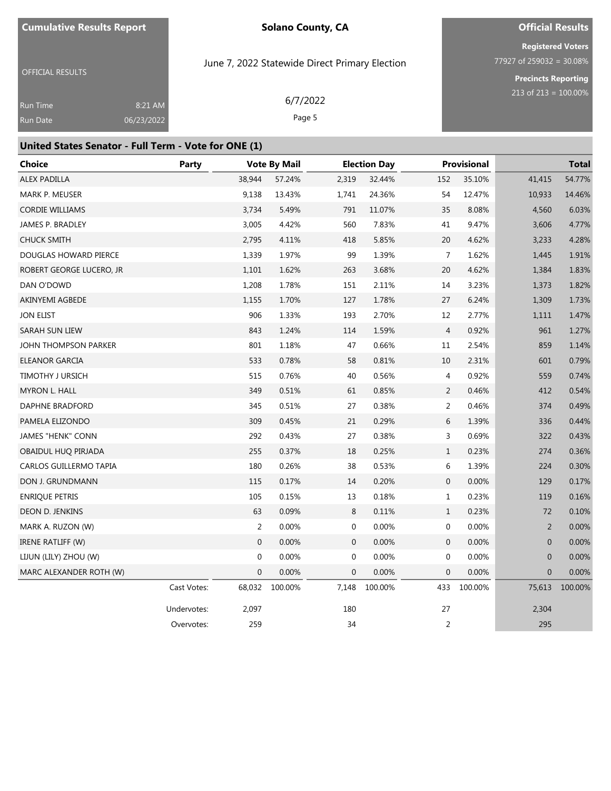# **Official Results Registered Voters**

OFFICIAL RESULTS

June 7, 2022 Statewide Direct Primary Election

77927 of 259032 = 30.08% **Precincts Reporting** 213 of 213 = 100.00%

| Run Time | 8:21 AM    | 6/7/2022 |
|----------|------------|----------|
| Run Date | 06/23/2022 | Page 5   |

#### **United States Senator - Full Term - Vote for ONE (1)**

| <b>Choice</b>            | <b>Party</b> |              | <b>Vote By Mail</b> |              | <b>Election Day</b> |                | Provisional |                | <b>Total</b> |
|--------------------------|--------------|--------------|---------------------|--------------|---------------------|----------------|-------------|----------------|--------------|
| <b>ALEX PADILLA</b>      |              | 38,944       | 57.24%              | 2,319        | 32.44%              | 152            | 35.10%      | 41,415         | 54.77%       |
| MARK P. MEUSER           |              | 9,138        | 13.43%              | 1,741        | 24.36%              | 54             | 12.47%      | 10,933         | 14.46%       |
| <b>CORDIE WILLIAMS</b>   |              | 3,734        | 5.49%               | 791          | 11.07%              | 35             | 8.08%       | 4,560          | 6.03%        |
| JAMES P. BRADLEY         |              | 3,005        | 4.42%               | 560          | 7.83%               | 41             | 9.47%       | 3,606          | 4.77%        |
| <b>CHUCK SMITH</b>       |              | 2,795        | 4.11%               | 418          | 5.85%               | 20             | 4.62%       | 3,233          | 4.28%        |
| DOUGLAS HOWARD PIERCE    |              | 1,339        | 1.97%               | 99           | 1.39%               | 7              | 1.62%       | 1,445          | 1.91%        |
| ROBERT GEORGE LUCERO, JR |              | 1,101        | 1.62%               | 263          | 3.68%               | $20\,$         | 4.62%       | 1,384          | 1.83%        |
| DAN O'DOWD               |              | 1,208        | 1.78%               | 151          | 2.11%               | 14             | 3.23%       | 1,373          | 1.82%        |
| AKINYEMI AGBEDE          |              | 1,155        | 1.70%               | 127          | 1.78%               | 27             | 6.24%       | 1,309          | 1.73%        |
| <b>JON ELIST</b>         |              | 906          | 1.33%               | 193          | 2.70%               | 12             | 2.77%       | 1,111          | 1.47%        |
| SARAH SUN LIEW           |              | 843          | 1.24%               | 114          | 1.59%               | $\overline{4}$ | 0.92%       | 961            | 1.27%        |
| JOHN THOMPSON PARKER     |              | 801          | 1.18%               | 47           | 0.66%               | 11             | 2.54%       | 859            | 1.14%        |
| ELEANOR GARCIA           |              | 533          | 0.78%               | 58           | 0.81%               | 10             | 2.31%       | 601            | 0.79%        |
| <b>TIMOTHY J URSICH</b>  |              | 515          | 0.76%               | 40           | 0.56%               | 4              | 0.92%       | 559            | 0.74%        |
| MYRON L. HALL            |              | 349          | 0.51%               | 61           | 0.85%               | $\overline{2}$ | 0.46%       | 412            | 0.54%        |
| DAPHNE BRADFORD          |              | 345          | 0.51%               | 27           | 0.38%               | $\overline{2}$ | 0.46%       | 374            | 0.49%        |
| PAMELA ELIZONDO          |              | 309          | 0.45%               | 21           | 0.29%               | 6              | 1.39%       | 336            | 0.44%        |
| <b>JAMES "HENK" CONN</b> |              | 292          | 0.43%               | 27           | 0.38%               | 3              | 0.69%       | 322            | 0.43%        |
| OBAIDUL HUQ PIRJADA      |              | 255          | 0.37%               | 18           | 0.25%               | $\mathbf{1}$   | 0.23%       | 274            | 0.36%        |
| CARLOS GUILLERMO TAPIA   |              | 180          | 0.26%               | 38           | 0.53%               | 6              | 1.39%       | 224            | 0.30%        |
| DON J. GRUNDMANN         |              | 115          | 0.17%               | 14           | 0.20%               | 0              | 0.00%       | 129            | 0.17%        |
| <b>ENRIQUE PETRIS</b>    |              | 105          | 0.15%               | 13           | 0.18%               | $\mathbf{1}$   | 0.23%       | 119            | 0.16%        |
| DEON D. JENKINS          |              | 63           | 0.09%               | 8            | 0.11%               | $\mathbf{1}$   | 0.23%       | 72             | 0.10%        |
| MARK A. RUZON (W)        |              | 2            | 0.00%               | $\mathbf 0$  | 0.00%               | 0              | 0.00%       | 2              | 0.00%        |
| <b>IRENE RATLIFF (W)</b> |              | $\mathbf 0$  | 0.00%               | $\mathbf 0$  | 0.00%               | $\mathbf 0$    | 0.00%       | $\overline{0}$ | 0.00%        |
| LIJUN (LILY) ZHOU (W)    |              | 0            | 0.00%               | $\mathbf 0$  | 0.00%               | 0              | 0.00%       | $\overline{0}$ | 0.00%        |
| MARC ALEXANDER ROTH (W)  |              | $\mathbf{0}$ | 0.00%               | $\mathbf{0}$ | 0.00%               | $\mathbf{0}$   | 0.00%       | $\overline{0}$ | 0.00%        |
|                          | Cast Votes:  | 68,032       | 100.00%             | 7,148        | 100.00%             | 433            | 100.00%     | 75,613         | 100.00%      |
|                          | Undervotes:  | 2,097        |                     | 180          |                     | 27             |             | 2,304          |              |
|                          | Overvotes:   | 259          |                     | 34           |                     | $\mathbf 2$    |             | 295            |              |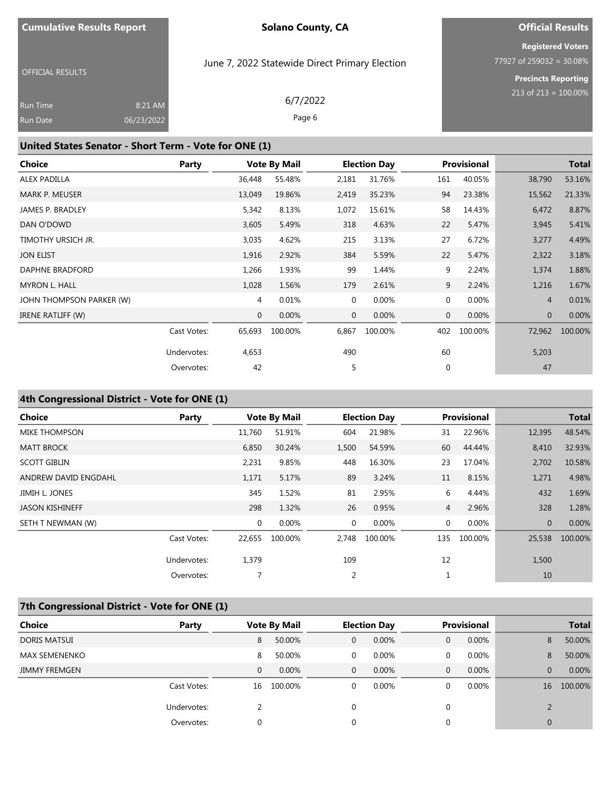# **Official Results Registered Voters**

OFFICIAL RESULTS

### June 7, 2022 Statewide Direct Primary Election

6/7/2022 Page 6

77927 of 259032 = 30.08% **Precincts Reporting**

213 of 213 = 100.00%

| Run Time | 8:21 AM    |
|----------|------------|
| Run Date | 06/23/2022 |

### **United States Senator - Short Term - Vote for ONE (1)**

| Choice                   | Party       |              | <b>Vote By Mail</b> | <b>Election Day</b> |          |     | Provisional |                | <b>Total</b> |
|--------------------------|-------------|--------------|---------------------|---------------------|----------|-----|-------------|----------------|--------------|
| <b>ALEX PADILLA</b>      |             | 36,448       | 55.48%              | 2,181               | 31.76%   | 161 | 40.05%      | 38,790         | 53.16%       |
| MARK P. MEUSER           |             | 13,049       | 19.86%              | 2,419               | 35.23%   | 94  | 23.38%      | 15,562         | 21.33%       |
| <b>JAMES P. BRADLEY</b>  |             | 5,342        | 8.13%               | 1,072               | 15.61%   | 58  | 14.43%      | 6,472          | 8.87%        |
| DAN O'DOWD               |             | 3,605        | 5.49%               | 318                 | 4.63%    | 22  | 5.47%       | 3,945          | 5.41%        |
| TIMOTHY URSICH JR.       |             | 3,035        | 4.62%               | 215                 | 3.13%    | 27  | 6.72%       | 3,277          | 4.49%        |
| <b>JON ELIST</b>         |             | 1,916        | 2.92%               | 384                 | 5.59%    | 22  | 5.47%       | 2,322          | 3.18%        |
| DAPHNE BRADFORD          |             | 1,266        | 1.93%               | 99                  | 1.44%    | 9   | 2.24%       | 1,374          | 1.88%        |
| <b>MYRON L. HALL</b>     |             | 1,028        | 1.56%               | 179                 | 2.61%    | 9   | 2.24%       | 1,216          | 1.67%        |
| JOHN THOMPSON PARKER (W) |             | 4            | 0.01%               | 0                   | 0.00%    | 0   | 0.00%       | $\overline{4}$ | 0.01%        |
| IRENE RATLIFF (W)        |             | $\mathbf{0}$ | 0.00%               | $\overline{0}$      | $0.00\%$ | 0   | $0.00\%$    | $\overline{0}$ | 0.00%        |
|                          | Cast Votes: | 65,693       | 100.00%             | 6,867               | 100.00%  | 402 | 100.00%     | 72,962         | 100.00%      |
|                          | Undervotes: | 4,653        |                     | 490                 |          | 60  |             | 5,203          |              |
|                          | Overvotes:  | 42           |                     | 5                   |          | 0   |             | 47             |              |

### **4th Congressional District - Vote for ONE (1)**

| <b>Choice</b>          | Party       |             | <b>Vote By Mail</b> |       | <b>Election Day</b> |                | <b>Provisional</b> | <b>Total</b>   |         |
|------------------------|-------------|-------------|---------------------|-------|---------------------|----------------|--------------------|----------------|---------|
| <b>MIKE THOMPSON</b>   |             | 11,760      | 51.91%              | 604   | 21.98%              | 31             | 22.96%             | 12,395         | 48.54%  |
| <b>MATT BROCK</b>      |             | 6,850       | 30.24%              | 1,500 | 54.59%              | 60             | 44.44%             | 8,410          | 32.93%  |
| <b>SCOTT GIBLIN</b>    |             | 2,231       | 9.85%               | 448   | 16.30%              | 23             | 17.04%             | 2,702          | 10.58%  |
| ANDREW DAVID ENGDAHL   |             | 1,171       | 5.17%               | 89    | 3.24%               | 11             | 8.15%              | 1,271          | 4.98%   |
| JIMIH L. JONES         |             | 345         | 1.52%               | 81    | 2.95%               | 6              | 4.44%              | 432            | 1.69%   |
| <b>JASON KISHINEFF</b> |             | 298         | 1.32%               | 26    | 0.95%               | $\overline{4}$ | 2.96%              | 328            | 1.28%   |
| SETH T NEWMAN (W)      |             | $\mathbf 0$ | 0.00%               | 0     | 0.00%               | 0              | 0.00%              | $\overline{0}$ | 0.00%   |
|                        | Cast Votes: | 22,655      | 100.00%             | 2,748 | 100.00%             | 135            | 100.00%            | 25,538         | 100.00% |
|                        | Undervotes: | 1,379       |                     | 109   |                     | 12             |                    | 1,500          |         |
|                        | Overvotes:  |             |                     | 2     |                     | 1              |                    | 10             |         |

# **7th Congressional District - Vote for ONE (1)**

| <b>Choice</b>        | Party       |    | <b>Vote By Mail</b> |                | <b>Election Day</b> |   | <b>Provisional</b> |    | <b>Total</b> |
|----------------------|-------------|----|---------------------|----------------|---------------------|---|--------------------|----|--------------|
| <b>DORIS MATSUI</b>  |             | 8  | 50.00%              | $\mathbf{0}$   | 0.00%               | 0 | 0.00%              | 8  | 50.00%       |
| <b>MAX SEMENENKO</b> |             | 8  | 50.00%              | $\mathbf{0}$   | $0.00\%$            | 0 | 0.00%              | 8  | 50.00%       |
| <b>JIMMY FREMGEN</b> |             | 0  | $0.00\%$            | $\overline{0}$ | $0.00\%$            | 0 | 0.00%              | 0  | 0.00%        |
|                      | Cast Votes: | 16 | 100.00%             | $\mathbf{0}$   | $0.00\%$            | 0 | 0.00%              | 16 | 100.00%      |
|                      | Undervotes: |    |                     | $\Omega$       |                     | 0 |                    |    |              |
|                      | Overvotes:  | 0  |                     | 0              |                     | 0 |                    | 0  |              |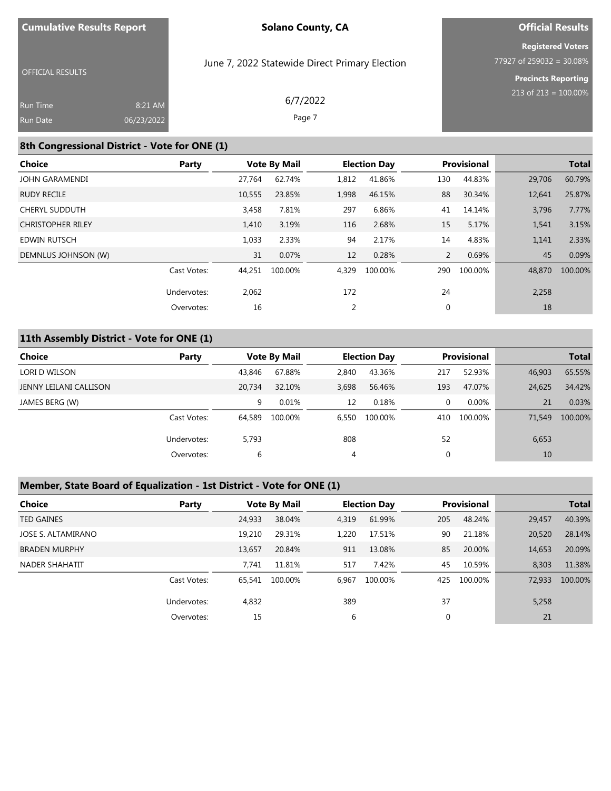# **Official Results Registered Voters**

OFFICIAL RESULTS

### June 7, 2022 Statewide Direct Primary Election

**Precincts Reporting** 213 of 213 = 100.00%

 $\overline{77927}$  of 259032 = 30.08%

| <b>Run Time</b> | 8:21 AM    | 6/7/2022 |
|-----------------|------------|----------|
| <b>Run Date</b> | 06/23/2022 | Page 7   |

# **8th Congressional District - Vote for ONE (1)**

| Choice                   | Party       |        | <b>Vote By Mail</b> |       | <b>Election Day</b> |                | <b>Provisional</b> |        | <b>Total</b> |
|--------------------------|-------------|--------|---------------------|-------|---------------------|----------------|--------------------|--------|--------------|
| JOHN GARAMENDI           |             | 27.764 | 62.74%              | 1,812 | 41.86%              | 130            | 44.83%             | 29,706 | 60.79%       |
| <b>RUDY RECILE</b>       |             | 10,555 | 23.85%              | 1,998 | 46.15%              | 88             | 30.34%             | 12,641 | 25.87%       |
| <b>CHERYL SUDDUTH</b>    |             | 3,458  | 7.81%               | 297   | 6.86%               | 41             | 14.14%             | 3,796  | 7.77%        |
| <b>CHRISTOPHER RILEY</b> |             | 1,410  | 3.19%               | 116   | 2.68%               | 15             | 5.17%              | 1,541  | 3.15%        |
| <b>EDWIN RUTSCH</b>      |             | 1,033  | 2.33%               | 94    | 2.17%               | 14             | 4.83%              | 1,141  | 2.33%        |
| DEMNLUS JOHNSON (W)      |             | 31     | 0.07%               | 12    | 0.28%               | $\overline{2}$ | 0.69%              | 45     | 0.09%        |
|                          | Cast Votes: | 44,251 | 100.00%             | 4,329 | 100.00%             | 290            | 100.00%            | 48,870 | 100.00%      |
|                          | Undervotes: | 2,062  |                     | 172   |                     | 24             |                    | 2,258  |              |
|                          | Overvotes:  | 16     |                     | 2     |                     | 0              |                    | 18     |              |

# **11th Assembly District - Vote for ONE (1)**

| Choice                 | Party       |        | <b>Vote By Mail</b> | <b>Election Day</b> |         | <b>Provisional</b> |         |        | <b>Total</b> |
|------------------------|-------------|--------|---------------------|---------------------|---------|--------------------|---------|--------|--------------|
| LORI D WILSON          |             | 43,846 | 67.88%              | 2,840               | 43.36%  | 217                | 52.93%  | 46,903 | 65.55%       |
| JENNY LEILANI CALLISON |             | 20,734 | 32.10%              | 3,698               | 56.46%  | 193                | 47.07%  | 24,625 | 34.42%       |
| JAMES BERG (W)         |             | 9      | 0.01%               | 12                  | 0.18%   | 0                  | 0.00%   | 21     | 0.03%        |
|                        | Cast Votes: | 64,589 | 100.00%             | 6,550               | 100.00% | 410                | 100.00% | 71,549 | 100.00%      |
|                        | Undervotes: | 5,793  |                     | 808                 |         | 52                 |         | 6,653  |              |
|                        | Overvotes:  | 6      |                     | 4                   |         | 0                  |         | 10     |              |

# **Member, State Board of Equalization - 1st District - Vote for ONE (1)**

| <b>Choice</b>        | Party       | <b>Vote By Mail</b> |         |       | <b>Election Day</b> |     | <b>Provisional</b> |        | <b>Total</b> |
|----------------------|-------------|---------------------|---------|-------|---------------------|-----|--------------------|--------|--------------|
| <b>TED GAINES</b>    |             | 24,933              | 38.04%  | 4,319 | 61.99%              | 205 | 48.24%             | 29,457 | 40.39%       |
| JOSE S. ALTAMIRANO   |             | 19,210              | 29.31%  | 1,220 | 17.51%              | 90  | 21.18%             | 20,520 | 28.14%       |
| <b>BRADEN MURPHY</b> |             | 13.657              | 20.84%  | 911   | 13.08%              | 85  | 20.00%             | 14,653 | 20.09%       |
| NADER SHAHATIT       |             | 7.741               | 11.81%  | 517   | 7.42%               | 45  | 10.59%             | 8,303  | 11.38%       |
|                      | Cast Votes: | 65,541              | 100.00% | 6,967 | 100.00%             | 425 | 100.00%            | 72,933 | 100.00%      |
|                      | Undervotes: | 4,832               |         | 389   |                     | 37  |                    | 5,258  |              |
|                      | Overvotes:  | 15                  |         | 6     |                     | 0   |                    | 21     |              |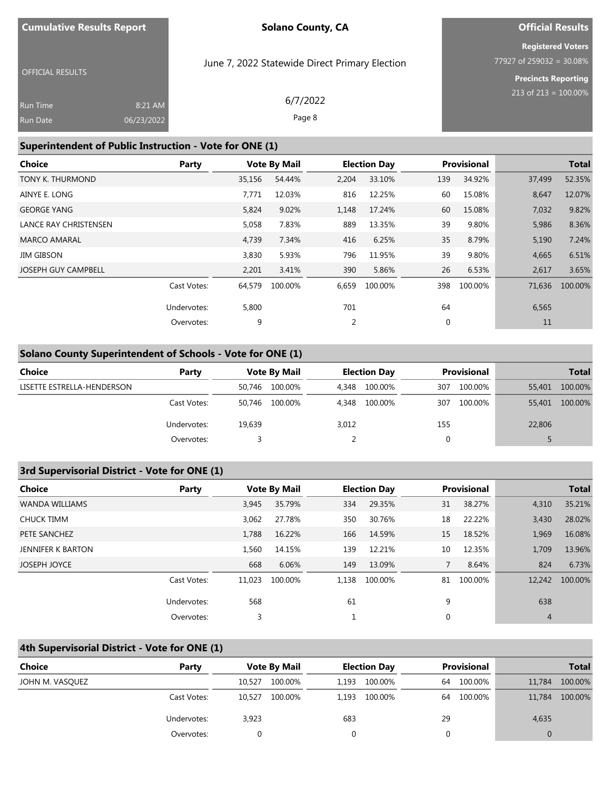# **Official Results Registered Voters**

OFFICIAL RESULTS

### June 7, 2022 Statewide Direct Primary Election

77927 of 259032 = 30.08% **Precincts Reporting**

213 of 213 = 100.00%

| 6/7/2022 | 8:21 AM    | <b>Run Time</b> |
|----------|------------|-----------------|
| Page 8   | 06/23/2022 | <b>Run Date</b> |

### **Superintendent of Public Instruction - Vote for ONE (1)**

| Party       |        |         | <b>Election Day</b> |         |     |         |                    | <b>Total</b> |
|-------------|--------|---------|---------------------|---------|-----|---------|--------------------|--------------|
|             | 35,156 | 54.44%  | 2,204               | 33.10%  | 139 | 34.92%  | 37,499             | 52.35%       |
|             | 7,771  | 12.03%  | 816                 | 12.25%  | 60  | 15.08%  | 8,647              | 12.07%       |
|             | 5,824  | 9.02%   | 1,148               | 17.24%  | 60  | 15.08%  | 7,032              | 9.82%        |
|             | 5,058  | 7.83%   | 889                 | 13.35%  | 39  | 9.80%   | 5,986              | 8.36%        |
|             | 4,739  | 7.34%   | 416                 | 6.25%   | 35  | 8.79%   | 5,190              | 7.24%        |
|             | 3,830  | 5.93%   | 796                 | 11.95%  | 39  | 9.80%   | 4,665              | 6.51%        |
|             | 2,201  | 3.41%   | 390                 | 5.86%   | 26  | 6.53%   | 2,617              | 3.65%        |
| Cast Votes: | 64,579 | 100.00% | 6,659               | 100.00% | 398 | 100.00% | 71,636             | 100.00%      |
| Undervotes: | 5,800  |         | 701                 |         | 64  |         | 6,565              |              |
| Overvotes:  | 9      |         | 2                   |         | 0   |         | 11                 |              |
|             |        |         | <b>Vote By Mail</b> |         |     |         | <b>Provisional</b> |              |

### **Solano County Superintendent of Schools - Vote for ONE (1)**

| Choice                     | Party       | <b>Vote By Mail</b> |         | <b>Election Day</b> |         | Provisional |         |        | <b>Total</b> |
|----------------------------|-------------|---------------------|---------|---------------------|---------|-------------|---------|--------|--------------|
| LISETTE ESTRELLA-HENDERSON |             | 50.746              | 100.00% | 4.348               | 100.00% | 307         | 100.00% | 55,401 | 100.00%      |
|                            | Cast Votes: | 50.746              | 100.00% | 4.348               | 100.00% | 307         | 100.00% | 55,401 | 100.00%      |
|                            | Undervotes: | 19,639              |         | 3,012               |         | 155         |         | 22,806 |              |
|                            | Overvotes:  |                     |         |                     |         | 0           |         |        |              |

### **3rd Supervisorial District - Vote for ONE (1)**

| Choice                | Party       |        | <b>Vote By Mail</b> |       | <b>Election Day</b> |              | <b>Provisional</b> |                | <b>Total</b> |
|-----------------------|-------------|--------|---------------------|-------|---------------------|--------------|--------------------|----------------|--------------|
| <b>WANDA WILLIAMS</b> |             | 3.945  | 35.79%              | 334   | 29.35%              | 31           | 38.27%             | 4,310          | 35.21%       |
| CHUCK TIMM            |             | 3,062  | 27.78%              | 350   | 30.76%              | 18           | 22.22%             | 3,430          | 28.02%       |
| PETE SANCHEZ          |             | 1.788  | 16.22%              | 166   | 14.59%              | 15           | 18.52%             | 1,969          | 16.08%       |
| JENNIFER K BARTON     |             | 1.560  | 14.15%              | 139   | 12.21%              | 10           | 12.35%             | 1,709          | 13.96%       |
| <b>JOSEPH JOYCE</b>   |             | 668    | 6.06%               | 149   | 13.09%              | $7^{\circ}$  | 8.64%              | 824            | 6.73%        |
|                       | Cast Votes: | 11.023 | 100.00%             | 1.138 | 100.00%             | 81           | 100.00%            | 12,242         | 100.00%      |
|                       | Undervotes: | 568    |                     | 61    |                     | 9            |                    | 638            |              |
|                       | Overvotes:  | 3      |                     |       |                     | $\mathbf{0}$ |                    | $\overline{4}$ |              |

### **4th Supervisorial District - Vote for ONE (1)**

| <b>Choice</b>   | Party       |        | <b>Vote By Mail</b> |       | <b>Election Day</b> |    | Provisional |          | <b>Total</b> |
|-----------------|-------------|--------|---------------------|-------|---------------------|----|-------------|----------|--------------|
| JOHN M. VASQUEZ |             | 10.527 | 100.00%             | 1.193 | 100.00%             | 64 | 100.00%     | 11,784   | 100.00%      |
|                 | Cast Votes: | 10.527 | 100.00%             | 1,193 | 100.00%             | 64 | 100.00%     | 11,784   | 100.00%      |
|                 | Undervotes: | 3,923  |                     | 683   |                     | 29 |             | 4,635    |              |
|                 | Overvotes:  |        |                     |       |                     |    |             | $\Omega$ |              |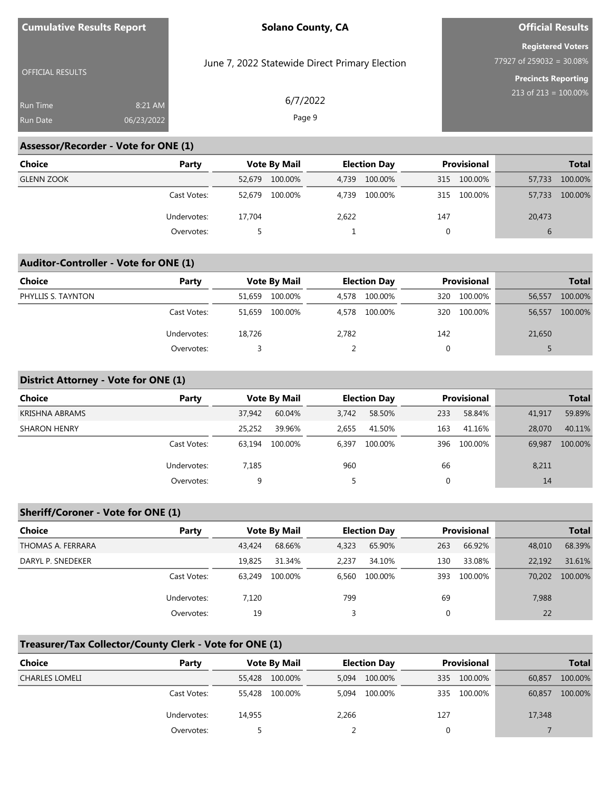|  | <b>Cumulative Results Report</b> |
|--|----------------------------------|
|--|----------------------------------|

### **Official Results**

**Registered Voters**  $\overline{77927}$  of 259032 = 30.08%

OFFICIAL RESULTS

June 7, 2022 Statewide Direct Primary Election

6/7/2022 Page 9

**Precincts Reporting** 213 of 213 = 100.00%

| <b>Run Time</b> | $8:21$ AM  |  |
|-----------------|------------|--|
| <b>Run Date</b> | 06/23/2022 |  |

### **Assessor/Recorder - Vote for ONE (1)**

| Choice            | Party       |        | <b>Vote By Mail</b> |       | <b>Election Day</b> |     | Provisional |               | <b>Total</b> |
|-------------------|-------------|--------|---------------------|-------|---------------------|-----|-------------|---------------|--------------|
| <b>GLENN ZOOK</b> |             | 52.679 | 100.00%             | 4.739 | 100.00%             |     | 315 100.00% | 57,733        | 100.00%      |
|                   | Cast Votes: | 52.679 | 100.00%             | 4.739 | 100.00%             | 315 | 100.00%     | 57,733        | 100.00%      |
|                   | Undervotes: | 17,704 |                     | 2,622 |                     | 147 |             | 20,473        |              |
|                   | Overvotes:  |        |                     |       |                     |     |             | $\mathfrak b$ |              |

### **Auditor-Controller - Vote for ONE (1)**

| <b>Choice</b>      | Party       |        | <b>Vote By Mail</b> |       | <b>Election Day</b> |     | <b>Provisional</b> |        | <b>Total</b> |
|--------------------|-------------|--------|---------------------|-------|---------------------|-----|--------------------|--------|--------------|
| PHYLLIS S. TAYNTON |             | 51,659 | 100.00%             | 4.578 | 100.00%             | 320 | 100.00%            | 56,557 | 100.00%      |
|                    | Cast Votes: | 51.659 | 100.00%             | 4,578 | 100.00%             |     | 320 100.00%        | 56,557 | 100.00%      |
|                    | Undervotes: | 18,726 |                     | 2,782 |                     | 142 |                    | 21,650 |              |
|                    | Overvotes:  |        |                     |       |                     |     |                    |        |              |

### **District Attorney - Vote for ONE (1)**

| <b>Choice</b>       | Party       |        | <b>Vote By Mail</b> |       | <b>Election Day</b> |     | Provisional |        | <b>Total</b> |
|---------------------|-------------|--------|---------------------|-------|---------------------|-----|-------------|--------|--------------|
| KRISHNA ABRAMS      |             | 37,942 | 60.04%              | 3,742 | 58.50%              | 233 | 58.84%      | 41,917 | 59.89%       |
| <b>SHARON HENRY</b> |             | 25,252 | 39.96%              | 2,655 | 41.50%              | 163 | 41.16%      | 28,070 | 40.11%       |
|                     | Cast Votes: | 63.194 | 100.00%             | 6.397 | 100.00%             | 396 | 100.00%     | 69,987 | 100.00%      |
|                     | Undervotes: | 7,185  |                     | 960   |                     | 66  |             | 8,211  |              |
|                     | Overvotes:  | 9      |                     |       |                     | 0   |             | 14     |              |

### **Sheriff/Coroner - Vote for ONE (1)**

| Choice            | Party       |        | <b>Vote By Mail</b> |       | <b>Election Day</b> |     | <b>Provisional</b> |        | <b>Total</b> |
|-------------------|-------------|--------|---------------------|-------|---------------------|-----|--------------------|--------|--------------|
| THOMAS A. FERRARA |             | 43,424 | 68.66%              | 4.323 | 65.90%              | 263 | 66.92%             | 48,010 | 68.39%       |
| DARYL P. SNEDEKER |             | 19,825 | 31.34%              | 2.237 | 34.10%              | 130 | 33.08%             | 22,192 | 31.61%       |
|                   | Cast Votes: | 63.249 | 100.00%             | 6,560 | 100.00%             | 393 | 100.00%            | 70.202 | 100.00%      |
|                   | Undervotes: | 7,120  |                     | 799   |                     | 69  |                    | 7,988  |              |
|                   | Overvotes:  | 19     |                     |       |                     |     |                    | 22     |              |

### **Treasurer/Tax Collector/County Clerk - Vote for ONE (1)**

| <b>Choice</b>         | Party       |        | <b>Vote By Mail</b> |       | <b>Election Day</b> |     | Provisional |        | <b>Total</b> |
|-----------------------|-------------|--------|---------------------|-------|---------------------|-----|-------------|--------|--------------|
| <b>CHARLES LOMELI</b> |             | 55,428 | 100.00%             | 5.094 | 100.00%             | 335 | 100.00%     | 60,857 | 100.00%      |
|                       | Cast Votes: | 55,428 | 100.00%             | 5.094 | 100.00%             | 335 | 100.00%     | 60,857 | 100.00%      |
|                       | Undervotes: | 14.955 |                     | 2,266 |                     | 127 |             | 17,348 |              |
|                       | Overvotes:  |        |                     |       |                     |     |             |        |              |